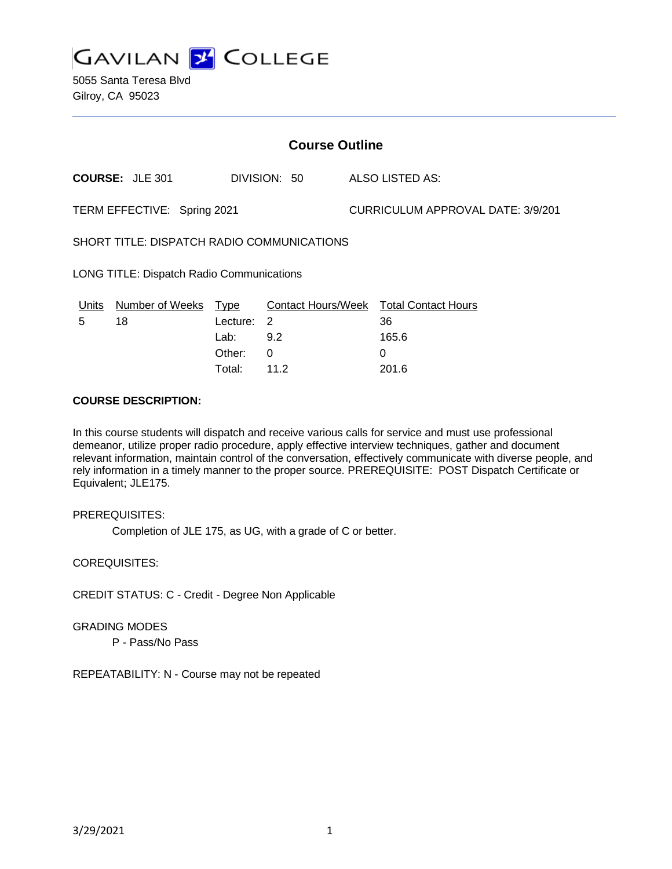

5055 Santa Teresa Blvd Gilroy, CA 95023

| <b>Course Outline</b>                      |                        |          |              |                                          |                                        |
|--------------------------------------------|------------------------|----------|--------------|------------------------------------------|----------------------------------------|
|                                            | <b>COURSE: JLE 301</b> |          | DIVISION: 50 |                                          | ALSO LISTED AS:                        |
| TERM EFFECTIVE: Spring 2021                |                        |          |              | <b>CURRICULUM APPROVAL DATE: 3/9/201</b> |                                        |
| SHORT TITLE: DISPATCH RADIO COMMUNICATIONS |                        |          |              |                                          |                                        |
| LONG TITLE: Dispatch Radio Communications  |                        |          |              |                                          |                                        |
| <u>Units</u>                               | Number of Weeks Type   |          |              |                                          | Contact Hours/Week Total Contact Hours |
| 5                                          | 18                     | Lecture: | 2            |                                          | 36                                     |
|                                            |                        | Lab:     | 9.2          |                                          | 165.6                                  |
|                                            |                        | Other:   | 0            |                                          | 0                                      |
|                                            |                        | Total:   | 11.2         |                                          | 201.6                                  |

#### **COURSE DESCRIPTION:**

In this course students will dispatch and receive various calls for service and must use professional demeanor, utilize proper radio procedure, apply effective interview techniques, gather and document relevant information, maintain control of the conversation, effectively communicate with diverse people, and rely information in a timely manner to the proper source. PREREQUISITE: POST Dispatch Certificate or Equivalent; JLE175.

#### PREREQUISITES:

Completion of JLE 175, as UG, with a grade of C or better.

COREQUISITES:

CREDIT STATUS: C - Credit - Degree Non Applicable

GRADING MODES

P - Pass/No Pass

REPEATABILITY: N - Course may not be repeated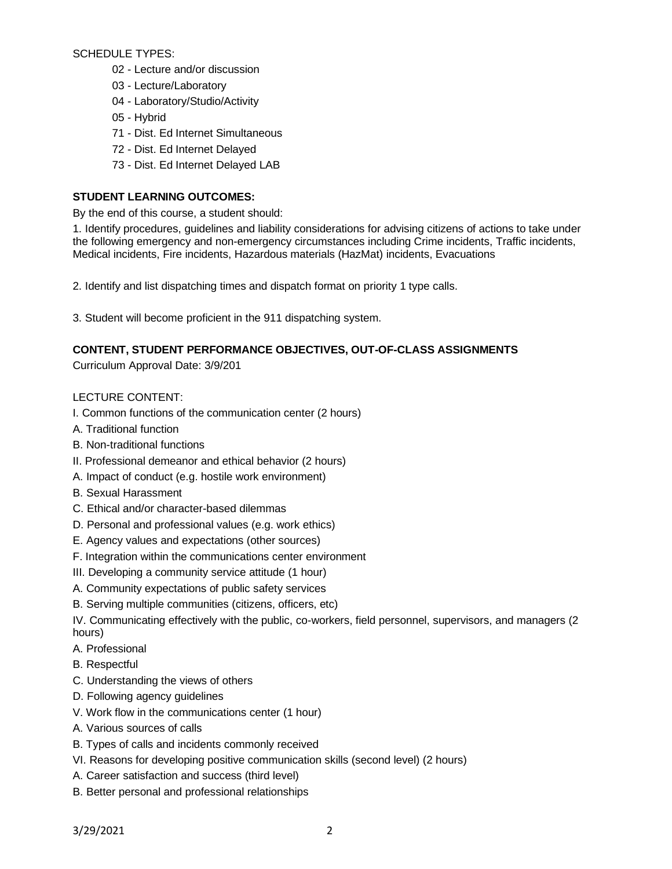SCHEDULE TYPES:

- 02 Lecture and/or discussion
- 03 Lecture/Laboratory
- 04 Laboratory/Studio/Activity
- 05 Hybrid
- 71 Dist. Ed Internet Simultaneous
- 72 Dist. Ed Internet Delayed
- 73 Dist. Ed Internet Delayed LAB

# **STUDENT LEARNING OUTCOMES:**

By the end of this course, a student should:

1. Identify procedures, guidelines and liability considerations for advising citizens of actions to take under the following emergency and non-emergency circumstances including Crime incidents, Traffic incidents, Medical incidents, Fire incidents, Hazardous materials (HazMat) incidents, Evacuations

2. Identify and list dispatching times and dispatch format on priority 1 type calls.

3. Student will become proficient in the 911 dispatching system.

### **CONTENT, STUDENT PERFORMANCE OBJECTIVES, OUT-OF-CLASS ASSIGNMENTS**

Curriculum Approval Date: 3/9/201

# LECTURE CONTENT:

- I. Common functions of the communication center (2 hours)
- A. Traditional function
- B. Non-traditional functions
- II. Professional demeanor and ethical behavior (2 hours)
- A. Impact of conduct (e.g. hostile work environment)
- B. Sexual Harassment
- C. Ethical and/or character-based dilemmas
- D. Personal and professional values (e.g. work ethics)
- E. Agency values and expectations (other sources)
- F. Integration within the communications center environment
- III. Developing a community service attitude (1 hour)
- A. Community expectations of public safety services
- B. Serving multiple communities (citizens, officers, etc)

IV. Communicating effectively with the public, co-workers, field personnel, supervisors, and managers (2 hours)

- A. Professional
- B. Respectful
- C. Understanding the views of others
- D. Following agency guidelines
- V. Work flow in the communications center (1 hour)
- A. Various sources of calls
- B. Types of calls and incidents commonly received
- VI. Reasons for developing positive communication skills (second level) (2 hours)
- A. Career satisfaction and success (third level)
- B. Better personal and professional relationships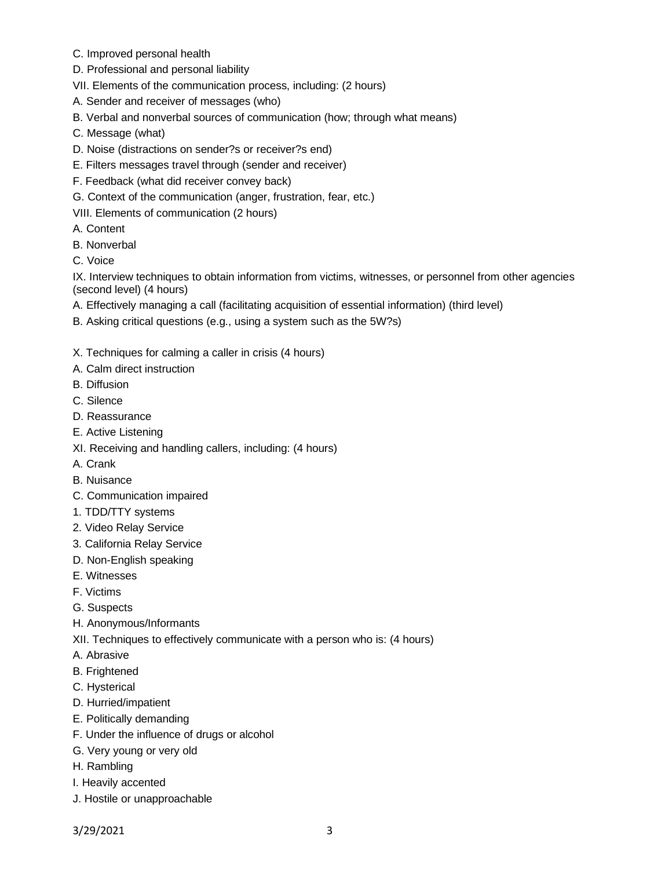- C. Improved personal health
- D. Professional and personal liability
- VII. Elements of the communication process, including: (2 hours)
- A. Sender and receiver of messages (who)
- B. Verbal and nonverbal sources of communication (how; through what means)
- C. Message (what)
- D. Noise (distractions on sender?s or receiver?s end)
- E. Filters messages travel through (sender and receiver)
- F. Feedback (what did receiver convey back)
- G. Context of the communication (anger, frustration, fear, etc.)
- VIII. Elements of communication (2 hours)
- A. Content
- B. Nonverbal
- C. Voice

IX. Interview techniques to obtain information from victims, witnesses, or personnel from other agencies (second level) (4 hours)

- A. Effectively managing a call (facilitating acquisition of essential information) (third level)
- B. Asking critical questions (e.g., using a system such as the 5W?s)
- X. Techniques for calming a caller in crisis (4 hours)
- A. Calm direct instruction
- B. Diffusion
- C. Silence
- D. Reassurance
- E. Active Listening
- XI. Receiving and handling callers, including: (4 hours)
- A. Crank
- B. Nuisance
- C. Communication impaired
- 1. TDD/TTY systems
- 2. Video Relay Service
- 3. California Relay Service
- D. Non-English speaking
- E. Witnesses
- F. Victims
- G. Suspects
- H. Anonymous/Informants
- XII. Techniques to effectively communicate with a person who is: (4 hours)
- A. Abrasive
- B. Frightened
- C. Hysterical
- D. Hurried/impatient
- E. Politically demanding
- F. Under the influence of drugs or alcohol
- G. Very young or very old
- H. Rambling
- I. Heavily accented
- J. Hostile or unapproachable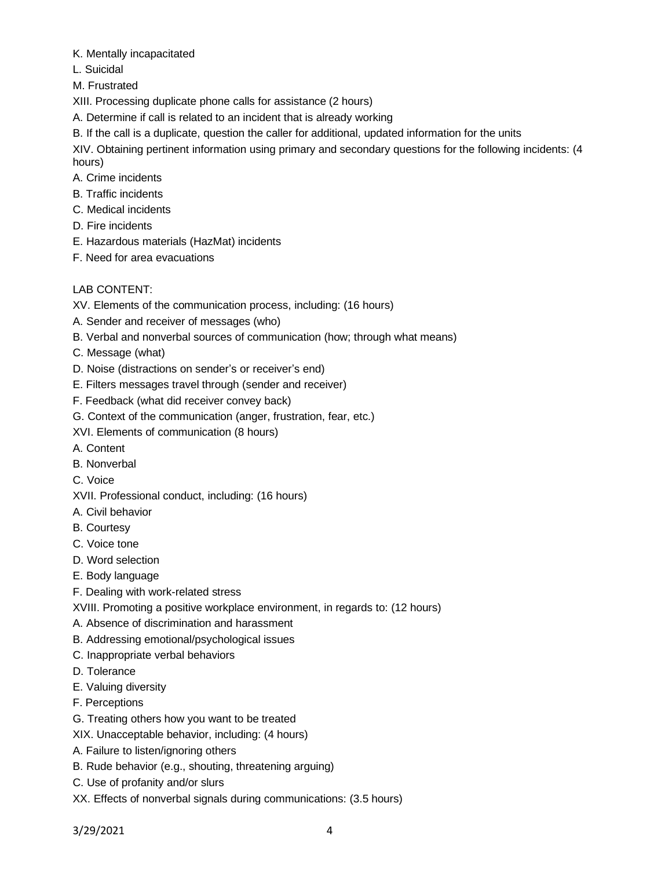- K. Mentally incapacitated
- L. Suicidal
- M. Frustrated
- XIII. Processing duplicate phone calls for assistance (2 hours)
- A. Determine if call is related to an incident that is already working
- B. If the call is a duplicate, question the caller for additional, updated information for the units

XIV. Obtaining pertinent information using primary and secondary questions for the following incidents: (4 hours)

- A. Crime incidents
- B. Traffic incidents
- C. Medical incidents
- D. Fire incidents
- E. Hazardous materials (HazMat) incidents
- F. Need for area evacuations

# LAB CONTENT:

- XV. Elements of the communication process, including: (16 hours)
- A. Sender and receiver of messages (who)
- B. Verbal and nonverbal sources of communication (how; through what means)
- C. Message (what)
- D. Noise (distractions on sender's or receiver's end)
- E. Filters messages travel through (sender and receiver)
- F. Feedback (what did receiver convey back)
- G. Context of the communication (anger, frustration, fear, etc.)
- XVI. Elements of communication (8 hours)
- A. Content
- B. Nonverbal
- C. Voice
- XVII. Professional conduct, including: (16 hours)
- A. Civil behavior
- B. Courtesy
- C. Voice tone
- D. Word selection
- E. Body language
- F. Dealing with work-related stress
- XVIII. Promoting a positive workplace environment, in regards to: (12 hours)
- A. Absence of discrimination and harassment
- B. Addressing emotional/psychological issues
- C. Inappropriate verbal behaviors
- D. Tolerance
- E. Valuing diversity
- F. Perceptions
- G. Treating others how you want to be treated
- XIX. Unacceptable behavior, including: (4 hours)
- A. Failure to listen/ignoring others
- B. Rude behavior (e.g., shouting, threatening arguing)
- C. Use of profanity and/or slurs
- XX. Effects of nonverbal signals during communications: (3.5 hours)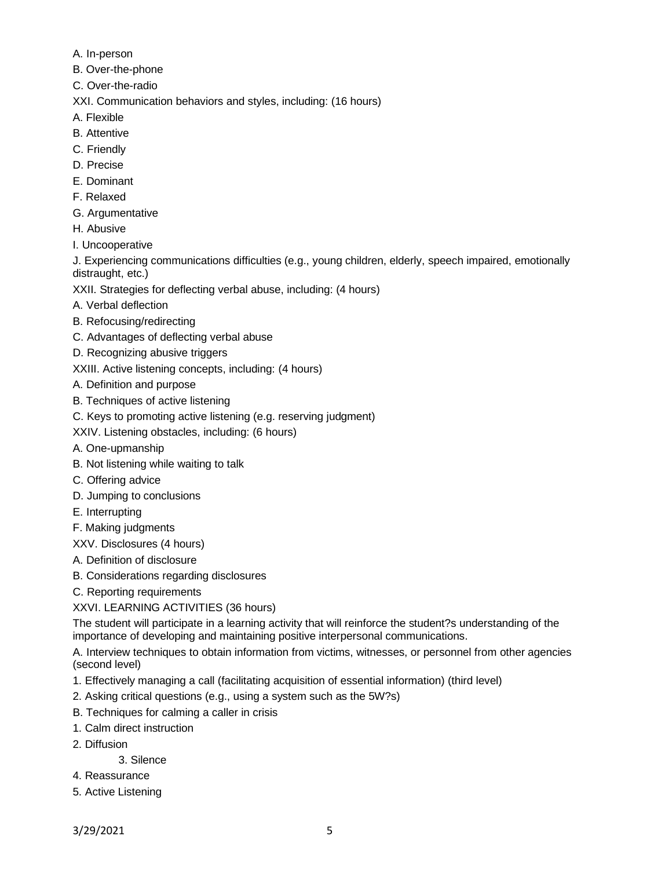- A. In-person
- B. Over-the-phone
- C. Over-the-radio

XXI. Communication behaviors and styles, including: (16 hours)

- A. Flexible
- B. Attentive
- C. Friendly
- D. Precise
- E. Dominant
- F. Relaxed
- G. Argumentative
- H. Abusive
- I. Uncooperative

J. Experiencing communications difficulties (e.g., young children, elderly, speech impaired, emotionally distraught, etc.)

XXII. Strategies for deflecting verbal abuse, including: (4 hours)

- A. Verbal deflection
- B. Refocusing/redirecting
- C. Advantages of deflecting verbal abuse
- D. Recognizing abusive triggers
- XXIII. Active listening concepts, including: (4 hours)
- A. Definition and purpose
- B. Techniques of active listening
- C. Keys to promoting active listening (e.g. reserving judgment)
- XXIV. Listening obstacles, including: (6 hours)
- A. One-upmanship
- B. Not listening while waiting to talk
- C. Offering advice
- D. Jumping to conclusions
- E. Interrupting
- F. Making judgments

XXV. Disclosures (4 hours)

- A. Definition of disclosure
- B. Considerations regarding disclosures
- C. Reporting requirements

XXVI. LEARNING ACTIVITIES (36 hours)

The student will participate in a learning activity that will reinforce the student?s understanding of the importance of developing and maintaining positive interpersonal communications.

A. Interview techniques to obtain information from victims, witnesses, or personnel from other agencies (second level)

- 1. Effectively managing a call (facilitating acquisition of essential information) (third level)
- 2. Asking critical questions (e.g., using a system such as the 5W?s)
- B. Techniques for calming a caller in crisis
- 1. Calm direct instruction
- 2. Diffusion
	- 3. Silence
- 4. Reassurance
- 5. Active Listening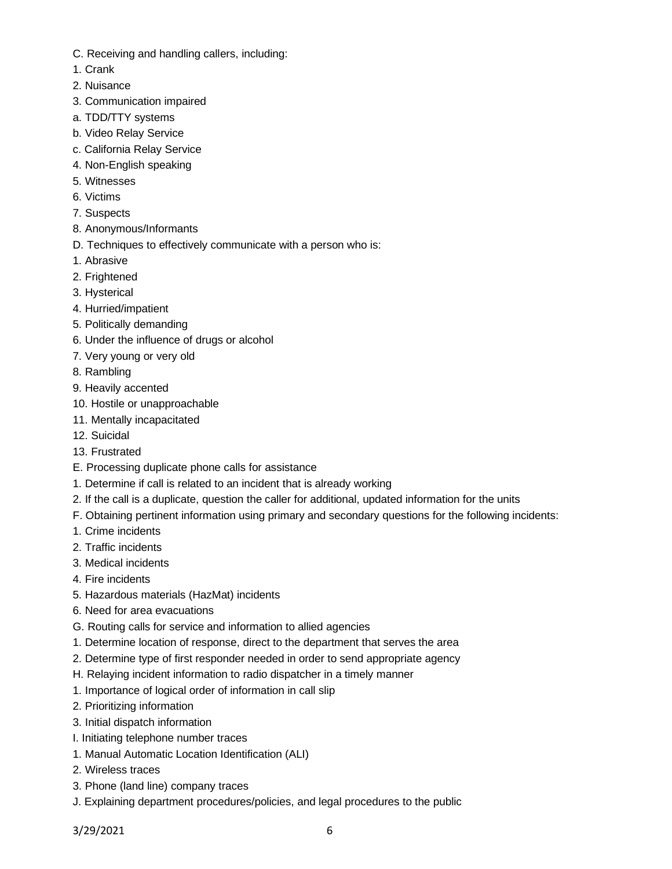- C. Receiving and handling callers, including:
- 1. Crank
- 2. Nuisance
- 3. Communication impaired
- a. TDD/TTY systems
- b. Video Relay Service
- c. California Relay Service
- 4. Non-English speaking
- 5. Witnesses
- 6. Victims
- 7. Suspects
- 8. Anonymous/Informants
- D. Techniques to effectively communicate with a person who is:
- 1. Abrasive
- 2. Frightened
- 3. Hysterical
- 4. Hurried/impatient
- 5. Politically demanding
- 6. Under the influence of drugs or alcohol
- 7. Very young or very old
- 8. Rambling
- 9. Heavily accented
- 10. Hostile or unapproachable
- 11. Mentally incapacitated
- 12. Suicidal
- 13. Frustrated
- E. Processing duplicate phone calls for assistance
- 1. Determine if call is related to an incident that is already working
- 2. If the call is a duplicate, question the caller for additional, updated information for the units
- F. Obtaining pertinent information using primary and secondary questions for the following incidents:
- 1. Crime incidents
- 2. Traffic incidents
- 3. Medical incidents
- 4. Fire incidents
- 5. Hazardous materials (HazMat) incidents
- 6. Need for area evacuations
- G. Routing calls for service and information to allied agencies
- 1. Determine location of response, direct to the department that serves the area
- 2. Determine type of first responder needed in order to send appropriate agency
- H. Relaying incident information to radio dispatcher in a timely manner
- 1. Importance of logical order of information in call slip
- 2. Prioritizing information
- 3. Initial dispatch information
- I. Initiating telephone number traces
- 1. Manual Automatic Location Identification (ALI)
- 2. Wireless traces
- 3. Phone (land line) company traces
- J. Explaining department procedures/policies, and legal procedures to the public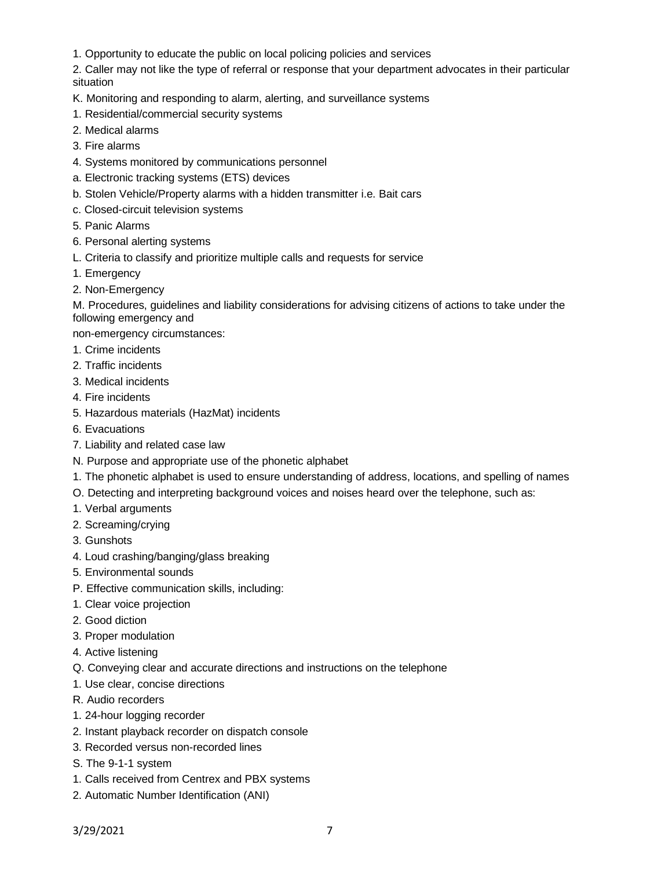1. Opportunity to educate the public on local policing policies and services

2. Caller may not like the type of referral or response that your department advocates in their particular situation

- K. Monitoring and responding to alarm, alerting, and surveillance systems
- 1. Residential/commercial security systems
- 2. Medical alarms
- 3. Fire alarms
- 4. Systems monitored by communications personnel
- a. Electronic tracking systems (ETS) devices
- b. Stolen Vehicle/Property alarms with a hidden transmitter i.e. Bait cars
- c. Closed-circuit television systems
- 5. Panic Alarms
- 6. Personal alerting systems
- L. Criteria to classify and prioritize multiple calls and requests for service
- 1. Emergency
- 2. Non-Emergency

M. Procedures, guidelines and liability considerations for advising citizens of actions to take under the following emergency and

non-emergency circumstances:

- 1. Crime incidents
- 2. Traffic incidents
- 3. Medical incidents
- 4. Fire incidents
- 5. Hazardous materials (HazMat) incidents
- 6. Evacuations
- 7. Liability and related case law
- N. Purpose and appropriate use of the phonetic alphabet
- 1. The phonetic alphabet is used to ensure understanding of address, locations, and spelling of names
- O. Detecting and interpreting background voices and noises heard over the telephone, such as:
- 1. Verbal arguments
- 2. Screaming/crying
- 3. Gunshots
- 4. Loud crashing/banging/glass breaking
- 5. Environmental sounds
- P. Effective communication skills, including:
- 1. Clear voice projection
- 2. Good diction
- 3. Proper modulation
- 4. Active listening
- Q. Conveying clear and accurate directions and instructions on the telephone
- 1. Use clear, concise directions
- R. Audio recorders
- 1. 24-hour logging recorder
- 2. Instant playback recorder on dispatch console
- 3. Recorded versus non-recorded lines
- S. The 9-1-1 system
- 1. Calls received from Centrex and PBX systems
- 2. Automatic Number Identification (ANI)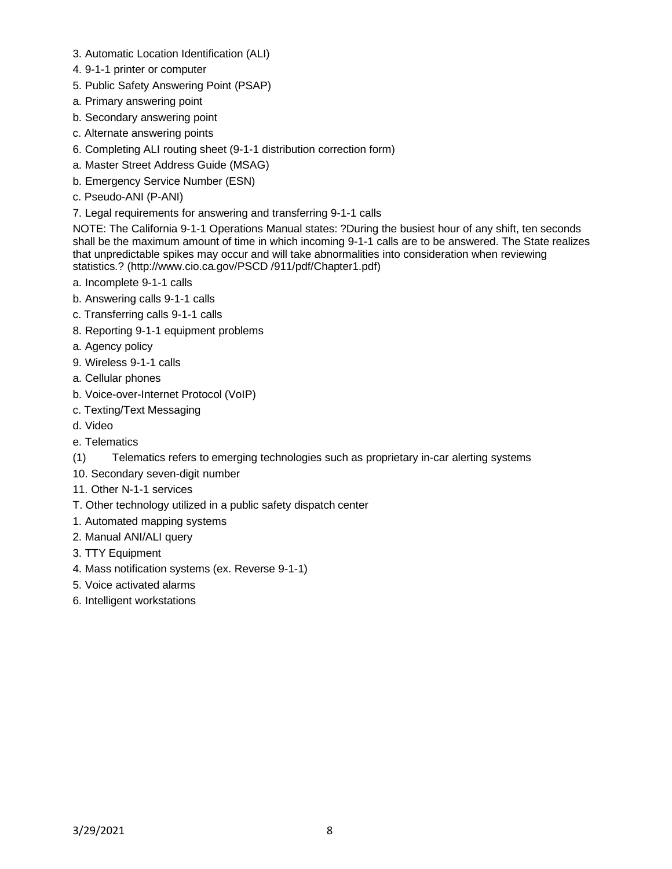- 3. Automatic Location Identification (ALI)
- 4. 9-1-1 printer or computer
- 5. Public Safety Answering Point (PSAP)
- a. Primary answering point
- b. Secondary answering point
- c. Alternate answering points
- 6. Completing ALI routing sheet (9-1-1 distribution correction form)
- a. Master Street Address Guide (MSAG)
- b. Emergency Service Number (ESN)
- c. Pseudo-ANI (P-ANI)
- 7. Legal requirements for answering and transferring 9-1-1 calls

NOTE: The California 9-1-1 Operations Manual states: ?During the busiest hour of any shift, ten seconds shall be the maximum amount of time in which incoming 9-1-1 calls are to be answered. The State realizes that unpredictable spikes may occur and will take abnormalities into consideration when reviewing statistics.? (http://www.cio.ca.gov/PSCD /911/pdf/Chapter1.pdf)

- a. Incomplete 9-1-1 calls
- b. Answering calls 9-1-1 calls
- c. Transferring calls 9-1-1 calls
- 8. Reporting 9-1-1 equipment problems
- a. Agency policy
- 9. Wireless 9-1-1 calls
- a. Cellular phones
- b. Voice-over-Internet Protocol (VoIP)
- c. Texting/Text Messaging
- d. Video
- e. Telematics
- (1) Telematics refers to emerging technologies such as proprietary in-car alerting systems
- 10. Secondary seven-digit number
- 11. Other N-1-1 services
- T. Other technology utilized in a public safety dispatch center
- 1. Automated mapping systems
- 2. Manual ANI/ALI query
- 3. TTY Equipment
- 4. Mass notification systems (ex. Reverse 9-1-1)
- 5. Voice activated alarms
- 6. Intelligent workstations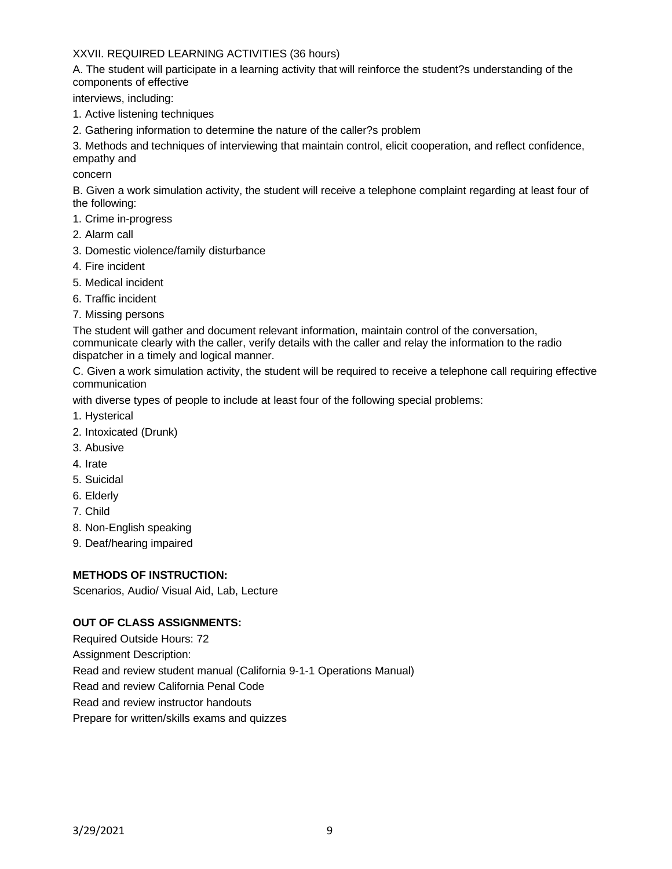# XXVII. REQUIRED LEARNING ACTIVITIES (36 hours)

A. The student will participate in a learning activity that will reinforce the student?s understanding of the components of effective

interviews, including:

- 1. Active listening techniques
- 2. Gathering information to determine the nature of the caller?s problem

3. Methods and techniques of interviewing that maintain control, elicit cooperation, and reflect confidence, empathy and

concern

B. Given a work simulation activity, the student will receive a telephone complaint regarding at least four of the following:

- 1. Crime in-progress
- 2. Alarm call
- 3. Domestic violence/family disturbance
- 4. Fire incident
- 5. Medical incident
- 6. Traffic incident
- 7. Missing persons

The student will gather and document relevant information, maintain control of the conversation, communicate clearly with the caller, verify details with the caller and relay the information to the radio dispatcher in a timely and logical manner.

C. Given a work simulation activity, the student will be required to receive a telephone call requiring effective communication

with diverse types of people to include at least four of the following special problems:

- 1. Hysterical
- 2. Intoxicated (Drunk)
- 3. Abusive
- 4. Irate
- 5. Suicidal
- 6. Elderly
- 7. Child
- 8. Non-English speaking
- 9. Deaf/hearing impaired

### **METHODS OF INSTRUCTION:**

Scenarios, Audio/ Visual Aid, Lab, Lecture

### **OUT OF CLASS ASSIGNMENTS:**

Required Outside Hours: 72 Assignment Description: Read and review student manual (California 9-1-1 Operations Manual) Read and review California Penal Code Read and review instructor handouts Prepare for written/skills exams and quizzes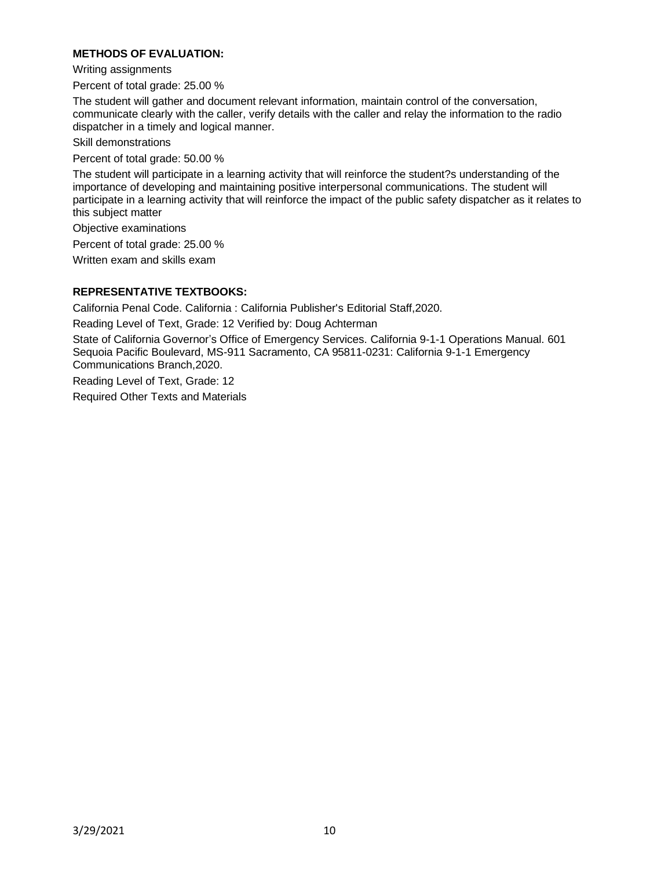## **METHODS OF EVALUATION:**

Writing assignments

Percent of total grade: 25.00 %

The student will gather and document relevant information, maintain control of the conversation, communicate clearly with the caller, verify details with the caller and relay the information to the radio dispatcher in a timely and logical manner.

Skill demonstrations

Percent of total grade: 50.00 %

The student will participate in a learning activity that will reinforce the student?s understanding of the importance of developing and maintaining positive interpersonal communications. The student will participate in a learning activity that will reinforce the impact of the public safety dispatcher as it relates to this subject matter

Objective examinations

Percent of total grade: 25.00 %

Written exam and skills exam

### **REPRESENTATIVE TEXTBOOKS:**

California Penal Code. California : California Publisher's Editorial Staff,2020.

Reading Level of Text, Grade: 12 Verified by: Doug Achterman

State of California Governor's Office of Emergency Services. California 9-1-1 Operations Manual. 601 Sequoia Pacific Boulevard, MS-911 Sacramento, CA 95811-0231: California 9-1-1 Emergency Communications Branch,2020.

Reading Level of Text, Grade: 12 Required Other Texts and Materials